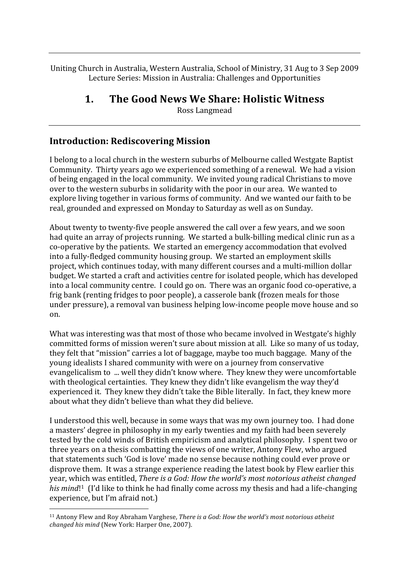Uniting
Church
in
Australia,
Western
Australia,
School
of
Ministry,
31
Aug
to
3
Sep
2009 Lecture
Series:
Mission
in
Australia:
Challenges
and
Opportunities

#### **1. The
Good
News
We
Share:
Holistic
Witness**

Ross
Langmead

#### **Introduction:
Rediscovering
Mission**

I belong to a local church in the western suburbs of Melbourne called Westgate Baptist Community. Thirty years ago we experienced something of a renewal. We had a vision of
being
engaged
in
the
local
community.

We
invited
young
radical
Christians
to
move over to the western suburbs in solidarity with the poor in our area. We wanted to explore
living
together
in
various
forms
of
community.

And
we
wanted
our
faith
to
be real,
grounded
and
expressed
on
Monday
to
Saturday
as
well
as
on
Sunday.

About twenty to twenty-five people answered the call over a few vears, and we soon had quite an array of projects running. We started a bulk-billing medical clinic run as a co-operative by the patients. We started an emergency accommodation that evolved into
a
fully‐fledged
community
housing
group.

We
started
an
employment
skills project, which continues today, with many different courses and a multi-million dollar budget.
We
started
a
craft
and
activities
centre
for
isolated
people,
which
has
developed into a local community centre. I could go on. There was an organic food co-operative, a frig bank (renting fridges to poor people), a casserole bank (frozen meals for those under
pressure),
a
removal
van
business
helping
low‐income
people
move
house
and
so on.

What was interesting was that most of those who became involved in Westgate's highly committed
forms
of
mission
weren't
sure
about
mission
at
all.

Like
so
many
of
us
today, they felt that "mission" carries a lot of baggage, maybe too much baggage. Many of the young
idealists
I
shared
community
with
were
on
a
journey
from
conservative evangelicalism to ... well they didn't know where. They knew they were uncomfortable with theological certainties. They knew they didn't like evangelism the way they'd experienced
it.

They
knew
they
didn't
take
the
Bible
literally.

In
fact,
they
knew
more about what they didn't believe than what they did believe.

I understood this well, because in some ways that was my own journey too. I had done a
masters'
degree
in
philosophy
in
my
early
twenties
and
my
faith
had
been
severely tested
by
the
cold
winds
of
British
empiricism
and
analytical
philosophy.

I
spent
two
or three
years
on
a
thesis
combatting
the
views
of
one
writer,
Antony
Flew,
who
argued that
statements
such
'God
is
love'
made
no
sense
because
nothing
could
ever
prove
or disprove them. It was a strange experience reading the latest book by Flew earlier this year,
which
was
entitled, *There
is
a
God:
How
the
world's
most
notorious
atheist
changed*  his mind<sup>[1</sup> (I'd like to think he had finally come across my thesis and had a life-changing experience,
but
I'm
afraid
not.)

<sup>&</sup>lt;sup>11</sup> Antony Flew and Roy Abraham Varghese, *There is a God: How the world's most notorious atheist* changed his mind (New York: Harper One, 2007).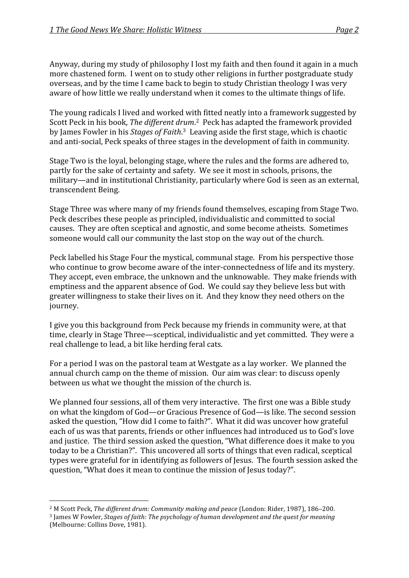Anyway, during my study of philosophy I lost my faith and then found it again in a much more chastened form. I went on to study other religions in further postgraduate study overseas,
and
by
the
time
I
came
back
to
begin
to
study
Christian
theology
I
was
very aware
of
how
little
we
really
understand
when
it
comes
to
the
ultimate
things
of
life.

The
young
radicals
I
lived
and
worked
with
fitted
neatly
into
a
framework
suggested
by Scott Peck in his book, The different drum.<sup>2</sup> Peck has adapted the framework provided by James Fowler in his *Stages of Faith*.<sup>3</sup> Leaving aside the first stage, which is chaotic and
anti‐social,
Peck
speaks
of
three
stages
in
the
development
of
faith
in
community.

Stage
Two
is
the
loyal,
belonging
stage,
where
the
rules
and
the
forms
are
adhered
to, partly for the sake of certainty and safety. We see it most in schools, prisons, the military—and in institutional Christianity, particularly where God is seen as an external, transcendent
Being.

Stage
Three
was
where
many
of
my
friends
found
themselves,
escaping
from
Stage
Two. Peck
describes
these
people
as
principled,
individualistic
and
committed
to
social causes.

They
are
often
sceptical
and
agnostic,
and
some
become
atheists.

Sometimes someone
would
call
our
community
the
last
stop
on
the
way
out
of
the
church.

Peck labelled his Stage Four the mystical, communal stage. From his perspective those who continue to grow become aware of the inter-connectedness of life and its mystery. They
accept,
even
embrace,
the
unknown
and
the
unknowable.

They
make
friends
with emptiness
and
the
apparent
absence
of
God.

We
could
say
they
believe
less
but
with greater willingness to stake their lives on it. And they know they need others on the journey.

I give you this background from Peck because my friends in community were, at that time,
clearly
in
Stage
Three—sceptical,
individualistic
and
yet
committed.

They
were
a real
challenge
to
lead,
a
bit
like
herding
feral
cats.

For
a
period
I
was
on
the
pastoral
team
at
Westgate
as
a
lay
worker.

We
planned
the annual
church
camp
on
the
theme
of
mission.

Our
aim
was
clear:
to
discuss
openly between us what we thought the mission of the church is.

We planned four sessions, all of them very interactive. The first one was a Bible study on
what
the
kingdom
of
God—or
Gracious
Presence
of
God—is
like.
The
second
session asked the question, "How did I come to faith?". What it did was uncover how grateful each
of
us
was
that
parents,
friends
or
other
influences
had
introduced
us
to
God's
love and
justice.

The
third
session
asked
the
question,
"What
difference
does
it
make
to
you today
to
be
a
Christian?".

This
uncovered
all
sorts
of
things
that
even
radical,
sceptical types were grateful for in identifying as followers of Jesus. The fourth session asked the question,
"What
does
it
mean
to
continue
the
mission
of
Jesus
today?".

<sup>&</sup>lt;sup>2</sup> M Scott Peck, The different drum: Community making and peace (London: Rider, 1987), 186-200.

<sup>&</sup>lt;sup>3</sup> James W Fowler, *Stages of faith: The psychology of human development and the quest for meaning* (Melbourne:
Collins
Dove,
1981).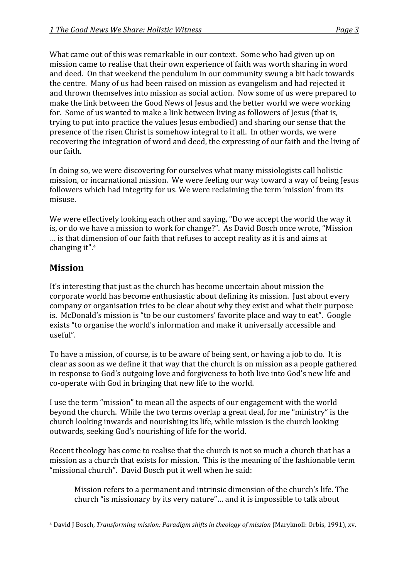What came out of this was remarkable in our context. Some who had given up on mission
came
to
realise
that
their
own
experience
of
faith
was
worth
sharing
in
word and
deed.

On
that
weekend
the
pendulum
in
our
community
swung
a
bit
back
towards the
centre.

Many
of
us
had
been
raised
on
mission
as
evangelism
and
had
rejected
it and
thrown
themselves
into
mission
as
social
action.

Now
some
of
us
were
prepared
to make the link between the Good News of Jesus and the better world we were working for. Some of us wanted to make a link between living as followers of Jesus (that is, trying
to
put
into
practice
the
values
Jesus
embodied)
and
sharing
our
sense
that
the presence
of
the
risen
Christ
is
somehow
integral
to
it
all.

In
other
words,
we
were recovering the integration of word and deed, the expressing of our faith and the living of our
faith.

In
doing
so,
we
were
discovering
for
ourselves
what
many
missiologists
call
holistic mission, or incarnational mission. We were feeling our way toward a way of being Jesus followers
which
had
integrity
for
us.
We
were
reclaiming
the
term
'mission'
from
its misuse.

We were effectively looking each other and saying, "Do we accept the world the way it is,
or
do
we
have
a
mission
to
work
for
change?".

As
David
Bosch
once
wrote,
"Mission ... is that dimension of our faith that refuses to accept reality as it is and aims at changing
it".4

#### **Mission**

It's interesting that just as the church has become uncertain about mission the corporate
world
has
become
enthusiastic
about
defining
its
mission.

Just
about
every company
or
organisation
tries
to
be
clear
about
why
they
exist
and
what
their
purpose is. McDonald's mission is "to be our customers' favorite place and way to eat". Google exists "to organise the world's information and make it universally accessible and useful".

To have a mission, of course, is to be aware of being sent, or having a job to do. It is clear
as
soon
as
we
define
it
that
way
that
the
church
is
on
mission
as
a
people
gathered in response to God's outgoing love and forgiveness to both live into God's new life and co‐operate
with
God
in
bringing
that
new
life
to
the
world.

I use the term "mission" to mean all the aspects of our engagement with the world beyond the church. While the two terms overlap a great deal, for me "ministry" is the church
looking
inwards
and
nourishing
its
life,
while
mission
is
the
church
looking outwards,
seeking
God's
nourishing
of
life
for
the
world.

Recent theology has come to realise that the church is not so much a church that has a mission
as
a
church
that
exists
for
mission.

This
is
the
meaning
of
the
fashionable
term "missional
church".

David
Bosch
put
it
well
when
he
said:

Mission
refers
to
a
permanent
and
intrinsic
dimension
of
the
church's
life.
The church
"is
missionary
by
its
very
nature"…
and
it
is
impossible
to
talk
about

 <sup>4</sup> David J Bosch, *Transforming mission: Paradigm shifts in theology of mission* (Maryknoll: Orbis, 1991), xv.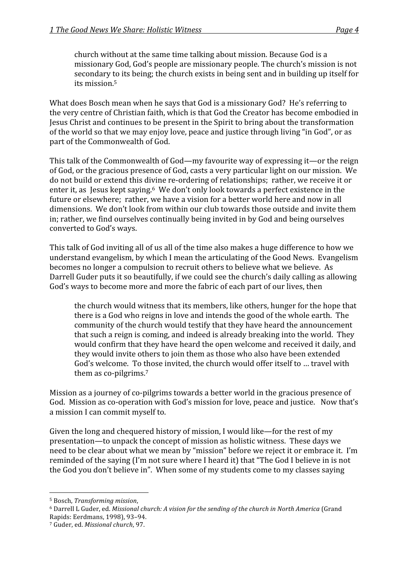church
without
at
the
same
time
talking
about
mission.
Because
God
is
a missionary
God,
God's
people
are
missionary
people.
The
church's
mission
is
not secondary
to
its
being;
the
church
exists
in
being
sent
and
in
building
up
itself
for its
mission. 5

What does Bosch mean when he says that God is a missionary God? He's referring to the
very
centre
of
Christian
faith,
which
is
that
God
the
Creator
has
become
embodied
in Jesus
Christ
and
continues
to
be
present
in
the
Spirit
to
bring
about
the
transformation of the world so that we may enjoy love, peace and justice through living "in God", or as part
of
the
Commonwealth
of
God.

This talk of the Commonwealth of God—my favourite way of expressing it—or the reign of
God,
or
the
gracious
presence
of
God,
casts
a
very
particular
light
on
our
mission.

We do not build or extend this divine re-ordering of relationships; rather, we receive it or enter it, as Jesus kept saying.<sup>6</sup> We don't only look towards a perfect existence in the future or elsewhere; rather, we have a vision for a better world here and now in all dimensions.

We
don't
look
from
within
our
club
towards
those
outside
and
invite
them in;
rather,
we
find
ourselves
continually
being
invited
in
by
God
and
being
ourselves converted
to
God's
ways.

This talk of God inviting all of us all of the time also makes a huge difference to how we understand
evangelism,
by
which
I
mean
the
articulating
of
the
Good
News.

Evangelism becomes no longer a compulsion to recruit others to believe what we believe. As Darrell Guder puts it so beautifully, if we could see the church's daily calling as allowing God's
ways
to
become
more
and
more
the
fabric
of
each
part
of
our
lives,
then

the
church
would
witness
that
its
members,
like
others,
hunger
for
the
hope
that there
is
a
God
who
reigns
in
love
and
intends
the
good
of
the
whole
earth.

The community
of
the
church
would
testify
that
they
have
heard
the
announcement that
such
a
reign
is
coming,
and
indeed
is
already
breaking
into
the
world.

They would confirm that they have heard the open welcome and received it daily, and they
would
invite
others
to
join
them
as
those
who
also
have
been
extended God's welcome. To those invited, the church would offer itself to ... travel with them
as
co‐pilgrims.7

Mission as a journey of co-pilgrims towards a better world in the gracious presence of God. Mission as co-operation with God's mission for love, peace and justice. Now that's a
mission
I
can
commit
myself
to.

Given the long and chequered history of mission, I would like—for the rest of my presentation—to
unpack
the
concept
of
mission
as
holistic
witness.

These
days
we need to be clear about what we mean by "mission" before we reject it or embrace it. I'm reminded of the saying (I'm not sure where I heard it) that "The God I believe in is not the God vou don't believe in". When some of my students come to my classes saying

<sup>6</sup> Darrell L Guder, ed. Missional church: A vision for the sending of the church in North America (Grand Rapids:
Eerdmans,
1998),
93–94.

<sup>5</sup> Bosch, *Transforming
mission*,

<sup>7</sup> Guder,
ed. *Missional
church*,
97.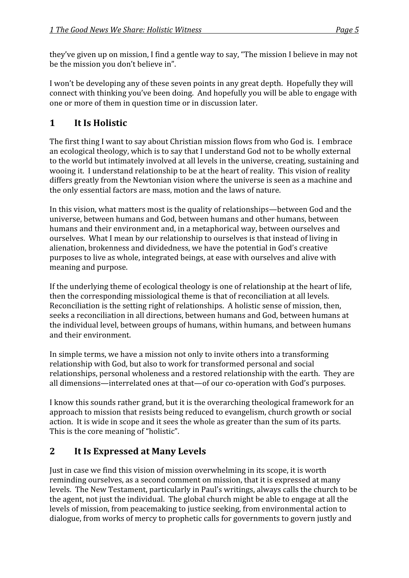they've given up on mission, I find a gentle way to say, "The mission I believe in may not be
the
mission
you
don't
believe
in".

I won't be developing any of these seven points in any great depth. Hopefully they will connect
with
thinking
you've
been
doing.

And
hopefully
you
will
be
able
to
engage
with one
or
more
of
them
in
question
time
or
in
discussion
later.

# **1 It
Is
Holistic**

The first thing I want to say about Christian mission flows from who God is. I embrace an
ecological
theology,
which
is
to
say
that
I
understand
God
not
to
be
wholly
external to the world but intimately involved at all levels in the universe, creating, sustaining and wooing it. I understand relationship to be at the heart of reality. This vision of reality differs
greatly
from
the
Newtonian
vision
where
the
universe
is
seen
as
a
machine
and the
only
essential
factors
are
mass,
motion
and
the
laws
of
nature.

In this vision, what matters most is the quality of relationships—between God and the universe,
between
humans
and
God,
between
humans
and
other
humans,
between humans
and
their
environment
and,
in
a
metaphorical
way,
between
ourselves
and ourselves.

What
I
mean
by
our
relationship
to
ourselves
is
that
instead
of
living
in alienation,
brokenness
and
dividedness,
we
have
the
potential
in
God's
creative purposes
to
live
as
whole,
integrated
beings,
at
ease
with
ourselves
and
alive
with meaning
and
purpose.

If the underlying theme of ecological theology is one of relationship at the heart of life, then
the
corresponding
missiological
theme
is
that
of
reconciliation
at
all
levels. Reconciliation is the setting right of relationships. A holistic sense of mission, then, seeks a reconciliation in all directions, between humans and God, between humans at the
individual
level,
between
groups
of
humans,
within
humans,
and
between
humans and
their
environment.

In
simple
terms,
we
have
a
mission
not
only
to
invite
others
into
a
transforming relationship
with
God,
but
also
to
work
for
transformed
personal
and
social relationships,
personal
wholeness
and
a
restored
relationship
with
the
earth.

They
are all
dimensions—interrelated
ones
at
that—of
our
co‐operation
with
God's
purposes.

I know this sounds rather grand, but it is the overarching theological framework for an approach to mission that resists being reduced to evangelism, church growth or social action. It is wide in scope and it sees the whole as greater than the sum of its parts. This
is
the
core
meaning
of
"holistic".

## **2 It
Is
Expressed
at
Many
Levels**

Just
in
case
we
find
this
vision
of
mission
overwhelming
in
its
scope,
it
is
worth reminding
ourselves,
as
a
second
comment
on
mission,
that
it
is
expressed
at
many levels.

The
New
Testament,
particularly
in
Paul's
writings,
always
calls
the
church
to
be the agent, not just the individual. The global church might be able to engage at all the levels of mission, from peacemaking to justice seeking, from environmental action to dialogue,
from
works
of
mercy
to
prophetic
calls
for
governments
to
govern
justly
and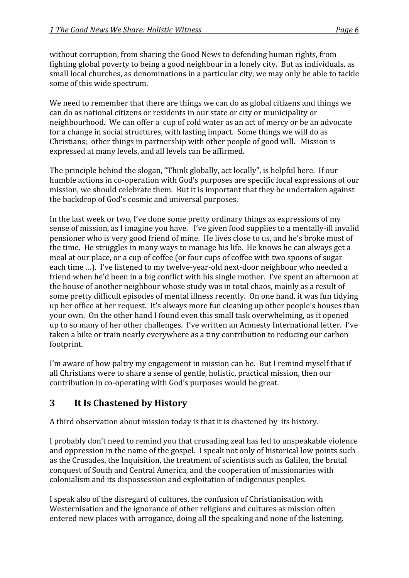without corruption, from sharing the Good News to defending human rights, from fighting global poverty to being a good neighbour in a lonely city. But as individuals, as small local churches, as denominations in a particular city, we may only be able to tackle some
of
this
wide
spectrum.

We need to remember that there are things we can do as global citizens and things we can
do
as
national
citizens
or
residents
in
our
state
or
city
or
municipality
or neighbourhood.

We
can
offer
a

cup
of
cold
water
as
an
act
of
mercy
or
be
an
advocate for
a
change
in
social
structures,
with
lasting
impact.

Some
things
we
will
do
as Christians: other things in partnership with other people of good will. Mission is expressed
at
many
levels,
and
all
levels
can
be
affirmed.

The principle behind the slogan, "Think globally, act locally", is helpful here. If our humble actions in co-operation with God's purposes are specific local expressions of our mission,
we
should
celebrate
them.

But
it
is
important
that
they
be
undertaken
against the
backdrop
of
God's
cosmic
and
universal
purposes.

In the last week or two, I've done some pretty ordinary things as expressions of my sense of mission, as I imagine you have. I've given food supplies to a mentally-ill invalid pensioner
who
is
very
good
friend
of
mine.

He
lives
close
to
us,
and
he's
broke
most
of the time. He struggles in many ways to manage his life. He knows he can always get a meal at our place, or a cup of coffee (or four cups of coffee with two spoons of sugar each time ...). I've listened to my twelve-year-old next-door neighbour who needed a friend
when
he'd
been
in
a
big
conflict
with
his
single
mother.

I've
spent
an
afternoon
at the
house
of
another
neighbour
whose
study
was
in
total
chaos,
mainly
as
a
result
of some
pretty
difficult
episodes
of
mental
illness
recently.

On
one
hand,
it
was
fun
tidying up her office at her request. It's always more fun cleaning up other people's houses than your
own.

On
the
other
hand
I
found
even
this
small
task
overwhelming,
as
it
opened up
to
so
many
of
her
other
challenges.

I've
written
an
Amnesty
International
letter.

I've taken a bike or train nearly everywhere as a tiny contribution to reducing our carbon footprint.

I'm aware of how paltry my engagement in mission can be. But I remind myself that if all
Christians
were
to
share
a
sense
of
gentle,
holistic,
practical
mission,
then
our contribution in co-operating with God's purposes would be great.

## **3 It
Is
Chastened
by
History**

A third observation about mission today is that it is chastened by its history.

I probably don't need to remind you that crusading zeal has led to unspeakable violence and oppression in the name of the gospel. I speak not only of historical low points such as
the
Crusades,
the
Inquisition,
the
treatment
of
scientists
such
as
Galileo,
the
brutal conquest
of
South
and
Central
America,
and
the
cooperation
of
missionaries
with colonialism
and
its
dispossession
and
exploitation
of
indigenous
peoples.

I speak also of the disregard of cultures, the confusion of Christianisation with Westernisation and the ignorance of other religions and cultures as mission often entered
new
places
with
arrogance,
doing
all
the
speaking
and
none
of
the
listening.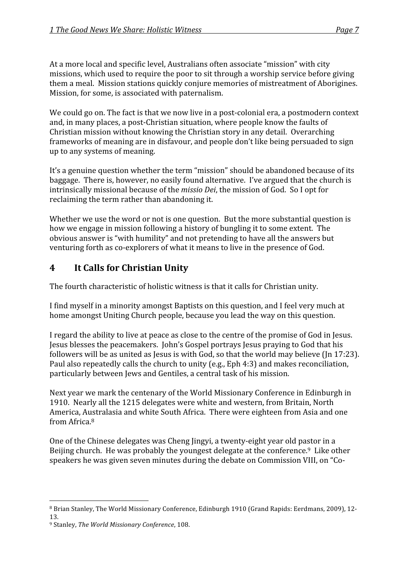At
a
more
local
and
specific
level,
Australians
often
associate
"mission"
with
city missions,
which
used
to
require
the
poor
to
sit
through
a
worship
service
before
giving them
a
meal.

Mission
stations
quickly
conjure
memories
of
mistreatment
of
Aborigines. Mission,
for
some,
is
associated
with
paternalism.

We could go on. The fact is that we now live in a post-colonial era, a postmodern context and, in many places, a post-Christian situation, where people know the faults of Christian
mission
without
knowing
the
Christian
story
in
any
detail.

Overarching frameworks of meaning are in disfavour, and people don't like being persuaded to sign up
to
any
systems
of
meaning.

It's a genuine question whether the term "mission" should be abandoned because of its baggage. There is, however, no easily found alternative. I've argued that the church is intrinsically
missional
because
of
the *missio
Dei*,
the
mission
of
God.

So
I
opt
for reclaiming
the
term
rather
than
abandoning
it.

Whether we use the word or not is one question. But the more substantial question is how we engage in mission following a history of bungling it to some extent. The obvious answer is "with humility" and not pretending to have all the answers but venturing forth as co-explorers of what it means to live in the presence of God.

## **4 It
Calls
for
Christian
Unity**

The
fourth
characteristic
of
holistic
witness
is
that
it
calls
for
Christian
unity.

I find myself in a minority amongst Baptists on this question, and I feel very much at home amongst Uniting Church people, because vou lead the way on this question.

I regard the ability to live at peace as close to the centre of the promise of God in Jesus. Jesus
blesses
the
peacemakers.

John's
Gospel
portrays
Jesus
praying
to
God
that
his followers will be as united as Jesus is with God, so that the world may believe (Jn 17:23). Paul also repeatedly calls the church to unity (e.g., Eph 4:3) and makes reconciliation, particularly
between
Jews
and
Gentiles,
a
central
task
of
his
mission.

Next
year
we
mark
the
centenary
of
the
World
Missionary
Conference
in
Edinburgh
in 1910.

Nearly
all
the
1215
delegates
were
white
and
western,
from
Britain,
North America,
Australasia
and
white
South
Africa.

There
were
eighteen
from
Asia
and
one from
Africa.8

One of the Chinese delegates was Cheng Jingyi, a twenty-eight year old pastor in a Beijing church. He was probably the youngest delegate at the conference.<sup>9</sup> Like other speakers he was given seven minutes during the debate on Commission VIII, on "Co-

<sup>&</sup>lt;sup>8</sup> Brian Stanley, The World Missionary Conference, Edinburgh 1910 (Grand Rapids: Eerdmans, 2009), 12-13.

<sup>9</sup> Stanley, *The
World
Missionary
Conference*,
108.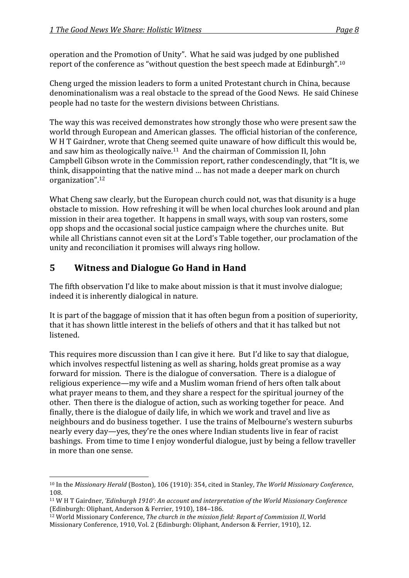operation
and
the
Promotion
of
Unity".

What
he
said
was
judged
by
one
published report of the conference as "without question the best speech made at Edinburgh".<sup>10</sup>

Cheng
urged
the
mission
leaders
to
form
a
united
Protestant
church
in
China,
because denominationalism
was
a
real
obstacle
to
the
spread
of
the
Good
News.

He
said
Chinese people
had
no
taste
for
the
western
divisions
between
Christians.

The
way
this
was
received
demonstrates
how
strongly
those
who
were
present
saw
the world through European and American glasses. The official historian of the conference, W H T Gairdner, wrote that Cheng seemed quite unaware of how difficult this would be. and
saw
him
as
theologically
naïve.11

And
the
chairman
of
Commission
II,
John Campbell Gibson wrote in the Commission report, rather condescendingly, that "It is, we think, disappointing that the native mind ... has not made a deeper mark on church organization".12

What Cheng saw clearly, but the European church could not, was that disunity is a huge obstacle
to
mission.

How
refreshing
it
will
be
when
local
churches
look
around
and
plan mission
in
their
area
together.

It
happens
in
small
ways,
with
soup
van
rosters,
some opp
shops
and
the
occasional
social
justice
campaign
where
the
churches
unite.

But while all Christians cannot even sit at the Lord's Table together, our proclamation of the unity
and
reconciliation
it
promises
will
always
ring
hollow.

## **5 Witness
and
Dialogue
Go
Hand
in
Hand**

The
fifth
observation
I'd
like
to
make
about
mission
is
that
it
must
involve
dialogue; indeed
it
is
inherently
dialogical
in
nature.

It is part of the baggage of mission that it has often begun from a position of superiority. that
it
has
shown
little
interest
in
the
beliefs
of
others
and
that
it
has
talked
but
not listened.

This requires more discussion than I can give it here. But I'd like to say that dialogue. which involves respectful listening as well as sharing, holds great promise as a way forward for mission. There is the dialogue of conversation. There is a dialogue of religious
experience—my
wife
and
a
Muslim
woman
friend
of
hers
often
talk
about what prayer means to them, and they share a respect for the spiritual journey of the other. Then there is the dialogue of action, such as working together for peace. And finally, there is the dialogue of daily life, in which we work and travel and live as neighbours
and
do
business
together.

I
use
the
trains
of
Melbourne's
western
suburbs nearly
every
day—yes,
they're
the
ones
where
Indian
students
live
in
fear
of
racist bashings.

From
time
to
time
I
enjoy
wonderful
dialogue,
just
by
being
a
fellow
traveller in
more
than
one
sense.

<sup>&</sup>lt;sup>10</sup> In the Missionary Herald (Boston), 106 (1910): 354, cited in Stanley, The World Missionary Conference, 108.

<sup>11</sup> W
H
T
Gairdner, *'Edinburgh
1910':
An
account
and
interpretation
of
the
World
Missionary
Conference* (Edinburgh:
Oliphant,
Anderson
&
Ferrier,
1910),
184–186.

<sup>&</sup>lt;sup>12</sup> World Missionary Conference, The church in the mission field: Report of Commission II, World Missionary
Conference,
1910,
Vol.
2
(Edinburgh:
Oliphant,
Anderson
&
Ferrier,
1910),
12.